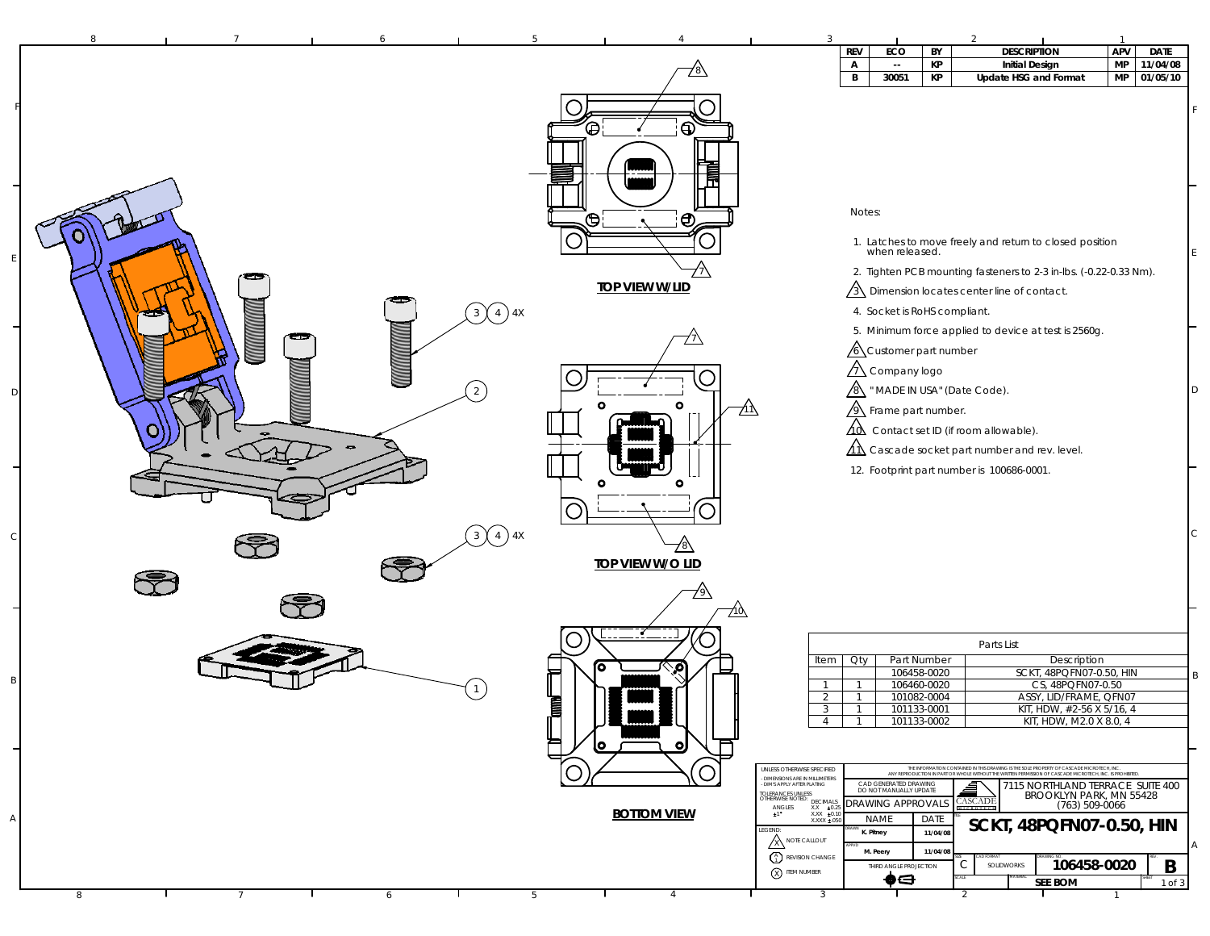| <b>REV</b><br><b>DESCRIPTION</b><br>ECO<br>BY<br>KP<br><b>MP</b><br><b>Initial Design</b><br>11/04/08<br>A<br>$\sim$<br>B<br>30051<br>KP<br>Update HSG and Format<br>MP<br>⊕<br>G<br>JTIJI<br>Ħ<br>Notes:<br>$\overline{\Theta}$<br>⊕<br>1. Latches to move freely and return to closed position<br>when released.<br>2. Tighten PCB mounting fasteners to 2-3 in-lbs. (-0.22-0.33 Nm).<br><b>TOP VIEW W/LID</b><br>$\sqrt{3}$ Dimension locates center line of contact.<br>$\overline{4}$<br>4. Socket is RoHS compliant.<br>3)<br><b>MANAMENTAL</b><br>5. Minimum force applied to device at test is 2560g.<br>$\sqrt{6}$ Customer part number<br>$\sqrt{1}$ Company logo<br>$\sqrt{8}$ " MADE IN USA" (Date Code).<br>2<br>$\mathbf{A}$ Frame part number.<br>Ζ1Λ<br>$\angle$ Contact set ID (if room allowable).<br>$\Lambda\Lambda$ Cascade socket part number and rev. level.<br>12. Footprint part number is 100686-0001.<br>$\binom{3}{4}$ 4X<br><b>TOP VIEW W/O LID</b><br>710\<br>Parts List<br>Part Number<br>Oty<br>Description<br>Item<br>о<br>SCKT, 48PQFN07-0.50, HIN<br>106458-0020<br>CS, 48PQFN07-0.50<br>106460-0020<br>$\mathbf{1}$<br>-1<br>e<br>E<br>101082-0004<br>2<br>$\overline{1}$<br>ASSY, LID/FRAME, QFN07<br>$\mathbf{3}$<br>$\overline{1}$<br>101133-0001<br>KIT, HDW, #2-56 X 5/16, 4<br>4<br>$\overline{1}$<br>101133-0002<br>KIT, HDW, M2.0 X 8.0, 4<br>$\bullet$<br>THE INFORMATION CONTAINED IN THIS DRAWING IS THE SOLE PROPERTY OF CASCADE MICROTECH, INC.<br>ANY REPRODUCTION IN PART OR WHOLE WITHOUT THE WRITTEN PERMISSION OF CASCADE MICROTECH, INC. IS PROHIBIT<br>UNLESS OTHERWISE SPECIFIED<br><b>DIMENSIONS ARE IN MILLIMETERS</b><br>CAD GENERATED DRAWING<br>DO NOT MANUALLY UPDATE<br>7115 NORTHLAND TERRACE SUITE 400<br>DIM'S APPLY AFTER PLATING<br>▌<br>TOLERANCES UNLESS<br>OTHERWISE NOTED: DECIMALS<br>BROOKLYN PARK, MN 55428<br><b>CASCADE</b><br>RAWING APPROVALS<br>$(763) 509 - 0066$<br>ANGLES<br>$\begin{array}{r} \n 0.2 \\ X.004 \\ X.004\n \end{array}$<br><b>BOTTOM VIEW</b><br>$\pm 1^{\circ}$<br>DATE<br><b>NAME</b><br>$X.XXX \pm 05$<br>SCKT, 48PQFN07-0.50, HIN<br>LEGEND:<br>11/04/08<br>K. Pitney<br>A NOTE CALLOUT<br>M. Peery<br>11/04/08<br>REVISION CHANGE<br>106458-0020<br>С<br>SOLIDWORKS<br>THIRD ANGLE PROJECTION<br>X ITEM NUMBER |  |  |  |  |    |  |     |             |
|------------------------------------------------------------------------------------------------------------------------------------------------------------------------------------------------------------------------------------------------------------------------------------------------------------------------------------------------------------------------------------------------------------------------------------------------------------------------------------------------------------------------------------------------------------------------------------------------------------------------------------------------------------------------------------------------------------------------------------------------------------------------------------------------------------------------------------------------------------------------------------------------------------------------------------------------------------------------------------------------------------------------------------------------------------------------------------------------------------------------------------------------------------------------------------------------------------------------------------------------------------------------------------------------------------------------------------------------------------------------------------------------------------------------------------------------------------------------------------------------------------------------------------------------------------------------------------------------------------------------------------------------------------------------------------------------------------------------------------------------------------------------------------------------------------------------------------------------------------------------------------------------------------------------------------------------------------------------------------------------------------------------------------------------------------------------------------------------------------------------------------------------------------------------------------------------------------------------------------------------------------------------------------------------------------------------|--|--|--|--|----|--|-----|-------------|
|                                                                                                                                                                                                                                                                                                                                                                                                                                                                                                                                                                                                                                                                                                                                                                                                                                                                                                                                                                                                                                                                                                                                                                                                                                                                                                                                                                                                                                                                                                                                                                                                                                                                                                                                                                                                                                                                                                                                                                                                                                                                                                                                                                                                                                                                                                                        |  |  |  |  |    |  | APV | <b>DATE</b> |
|                                                                                                                                                                                                                                                                                                                                                                                                                                                                                                                                                                                                                                                                                                                                                                                                                                                                                                                                                                                                                                                                                                                                                                                                                                                                                                                                                                                                                                                                                                                                                                                                                                                                                                                                                                                                                                                                                                                                                                                                                                                                                                                                                                                                                                                                                                                        |  |  |  |  |    |  |     | 01/05/10    |
|                                                                                                                                                                                                                                                                                                                                                                                                                                                                                                                                                                                                                                                                                                                                                                                                                                                                                                                                                                                                                                                                                                                                                                                                                                                                                                                                                                                                                                                                                                                                                                                                                                                                                                                                                                                                                                                                                                                                                                                                                                                                                                                                                                                                                                                                                                                        |  |  |  |  |    |  |     |             |
|                                                                                                                                                                                                                                                                                                                                                                                                                                                                                                                                                                                                                                                                                                                                                                                                                                                                                                                                                                                                                                                                                                                                                                                                                                                                                                                                                                                                                                                                                                                                                                                                                                                                                                                                                                                                                                                                                                                                                                                                                                                                                                                                                                                                                                                                                                                        |  |  |  |  |    |  |     |             |
|                                                                                                                                                                                                                                                                                                                                                                                                                                                                                                                                                                                                                                                                                                                                                                                                                                                                                                                                                                                                                                                                                                                                                                                                                                                                                                                                                                                                                                                                                                                                                                                                                                                                                                                                                                                                                                                                                                                                                                                                                                                                                                                                                                                                                                                                                                                        |  |  |  |  |    |  |     |             |
|                                                                                                                                                                                                                                                                                                                                                                                                                                                                                                                                                                                                                                                                                                                                                                                                                                                                                                                                                                                                                                                                                                                                                                                                                                                                                                                                                                                                                                                                                                                                                                                                                                                                                                                                                                                                                                                                                                                                                                                                                                                                                                                                                                                                                                                                                                                        |  |  |  |  |    |  |     |             |
|                                                                                                                                                                                                                                                                                                                                                                                                                                                                                                                                                                                                                                                                                                                                                                                                                                                                                                                                                                                                                                                                                                                                                                                                                                                                                                                                                                                                                                                                                                                                                                                                                                                                                                                                                                                                                                                                                                                                                                                                                                                                                                                                                                                                                                                                                                                        |  |  |  |  |    |  |     |             |
|                                                                                                                                                                                                                                                                                                                                                                                                                                                                                                                                                                                                                                                                                                                                                                                                                                                                                                                                                                                                                                                                                                                                                                                                                                                                                                                                                                                                                                                                                                                                                                                                                                                                                                                                                                                                                                                                                                                                                                                                                                                                                                                                                                                                                                                                                                                        |  |  |  |  |    |  |     |             |
|                                                                                                                                                                                                                                                                                                                                                                                                                                                                                                                                                                                                                                                                                                                                                                                                                                                                                                                                                                                                                                                                                                                                                                                                                                                                                                                                                                                                                                                                                                                                                                                                                                                                                                                                                                                                                                                                                                                                                                                                                                                                                                                                                                                                                                                                                                                        |  |  |  |  |    |  |     |             |
|                                                                                                                                                                                                                                                                                                                                                                                                                                                                                                                                                                                                                                                                                                                                                                                                                                                                                                                                                                                                                                                                                                                                                                                                                                                                                                                                                                                                                                                                                                                                                                                                                                                                                                                                                                                                                                                                                                                                                                                                                                                                                                                                                                                                                                                                                                                        |  |  |  |  |    |  |     |             |
|                                                                                                                                                                                                                                                                                                                                                                                                                                                                                                                                                                                                                                                                                                                                                                                                                                                                                                                                                                                                                                                                                                                                                                                                                                                                                                                                                                                                                                                                                                                                                                                                                                                                                                                                                                                                                                                                                                                                                                                                                                                                                                                                                                                                                                                                                                                        |  |  |  |  |    |  |     |             |
|                                                                                                                                                                                                                                                                                                                                                                                                                                                                                                                                                                                                                                                                                                                                                                                                                                                                                                                                                                                                                                                                                                                                                                                                                                                                                                                                                                                                                                                                                                                                                                                                                                                                                                                                                                                                                                                                                                                                                                                                                                                                                                                                                                                                                                                                                                                        |  |  |  |  |    |  |     |             |
|                                                                                                                                                                                                                                                                                                                                                                                                                                                                                                                                                                                                                                                                                                                                                                                                                                                                                                                                                                                                                                                                                                                                                                                                                                                                                                                                                                                                                                                                                                                                                                                                                                                                                                                                                                                                                                                                                                                                                                                                                                                                                                                                                                                                                                                                                                                        |  |  |  |  |    |  |     |             |
|                                                                                                                                                                                                                                                                                                                                                                                                                                                                                                                                                                                                                                                                                                                                                                                                                                                                                                                                                                                                                                                                                                                                                                                                                                                                                                                                                                                                                                                                                                                                                                                                                                                                                                                                                                                                                                                                                                                                                                                                                                                                                                                                                                                                                                                                                                                        |  |  |  |  |    |  |     |             |
|                                                                                                                                                                                                                                                                                                                                                                                                                                                                                                                                                                                                                                                                                                                                                                                                                                                                                                                                                                                                                                                                                                                                                                                                                                                                                                                                                                                                                                                                                                                                                                                                                                                                                                                                                                                                                                                                                                                                                                                                                                                                                                                                                                                                                                                                                                                        |  |  |  |  |    |  |     |             |
|                                                                                                                                                                                                                                                                                                                                                                                                                                                                                                                                                                                                                                                                                                                                                                                                                                                                                                                                                                                                                                                                                                                                                                                                                                                                                                                                                                                                                                                                                                                                                                                                                                                                                                                                                                                                                                                                                                                                                                                                                                                                                                                                                                                                                                                                                                                        |  |  |  |  |    |  |     |             |
|                                                                                                                                                                                                                                                                                                                                                                                                                                                                                                                                                                                                                                                                                                                                                                                                                                                                                                                                                                                                                                                                                                                                                                                                                                                                                                                                                                                                                                                                                                                                                                                                                                                                                                                                                                                                                                                                                                                                                                                                                                                                                                                                                                                                                                                                                                                        |  |  |  |  |    |  |     |             |
|                                                                                                                                                                                                                                                                                                                                                                                                                                                                                                                                                                                                                                                                                                                                                                                                                                                                                                                                                                                                                                                                                                                                                                                                                                                                                                                                                                                                                                                                                                                                                                                                                                                                                                                                                                                                                                                                                                                                                                                                                                                                                                                                                                                                                                                                                                                        |  |  |  |  |    |  |     |             |
|                                                                                                                                                                                                                                                                                                                                                                                                                                                                                                                                                                                                                                                                                                                                                                                                                                                                                                                                                                                                                                                                                                                                                                                                                                                                                                                                                                                                                                                                                                                                                                                                                                                                                                                                                                                                                                                                                                                                                                                                                                                                                                                                                                                                                                                                                                                        |  |  |  |  |    |  |     |             |
|                                                                                                                                                                                                                                                                                                                                                                                                                                                                                                                                                                                                                                                                                                                                                                                                                                                                                                                                                                                                                                                                                                                                                                                                                                                                                                                                                                                                                                                                                                                                                                                                                                                                                                                                                                                                                                                                                                                                                                                                                                                                                                                                                                                                                                                                                                                        |  |  |  |  |    |  |     |             |
|                                                                                                                                                                                                                                                                                                                                                                                                                                                                                                                                                                                                                                                                                                                                                                                                                                                                                                                                                                                                                                                                                                                                                                                                                                                                                                                                                                                                                                                                                                                                                                                                                                                                                                                                                                                                                                                                                                                                                                                                                                                                                                                                                                                                                                                                                                                        |  |  |  |  |    |  |     |             |
|                                                                                                                                                                                                                                                                                                                                                                                                                                                                                                                                                                                                                                                                                                                                                                                                                                                                                                                                                                                                                                                                                                                                                                                                                                                                                                                                                                                                                                                                                                                                                                                                                                                                                                                                                                                                                                                                                                                                                                                                                                                                                                                                                                                                                                                                                                                        |  |  |  |  |    |  |     |             |
|                                                                                                                                                                                                                                                                                                                                                                                                                                                                                                                                                                                                                                                                                                                                                                                                                                                                                                                                                                                                                                                                                                                                                                                                                                                                                                                                                                                                                                                                                                                                                                                                                                                                                                                                                                                                                                                                                                                                                                                                                                                                                                                                                                                                                                                                                                                        |  |  |  |  |    |  |     |             |
|                                                                                                                                                                                                                                                                                                                                                                                                                                                                                                                                                                                                                                                                                                                                                                                                                                                                                                                                                                                                                                                                                                                                                                                                                                                                                                                                                                                                                                                                                                                                                                                                                                                                                                                                                                                                                                                                                                                                                                                                                                                                                                                                                                                                                                                                                                                        |  |  |  |  |    |  |     |             |
|                                                                                                                                                                                                                                                                                                                                                                                                                                                                                                                                                                                                                                                                                                                                                                                                                                                                                                                                                                                                                                                                                                                                                                                                                                                                                                                                                                                                                                                                                                                                                                                                                                                                                                                                                                                                                                                                                                                                                                                                                                                                                                                                                                                                                                                                                                                        |  |  |  |  |    |  |     |             |
|                                                                                                                                                                                                                                                                                                                                                                                                                                                                                                                                                                                                                                                                                                                                                                                                                                                                                                                                                                                                                                                                                                                                                                                                                                                                                                                                                                                                                                                                                                                                                                                                                                                                                                                                                                                                                                                                                                                                                                                                                                                                                                                                                                                                                                                                                                                        |  |  |  |  |    |  |     |             |
|                                                                                                                                                                                                                                                                                                                                                                                                                                                                                                                                                                                                                                                                                                                                                                                                                                                                                                                                                                                                                                                                                                                                                                                                                                                                                                                                                                                                                                                                                                                                                                                                                                                                                                                                                                                                                                                                                                                                                                                                                                                                                                                                                                                                                                                                                                                        |  |  |  |  |    |  |     |             |
|                                                                                                                                                                                                                                                                                                                                                                                                                                                                                                                                                                                                                                                                                                                                                                                                                                                                                                                                                                                                                                                                                                                                                                                                                                                                                                                                                                                                                                                                                                                                                                                                                                                                                                                                                                                                                                                                                                                                                                                                                                                                                                                                                                                                                                                                                                                        |  |  |  |  |    |  |     |             |
|                                                                                                                                                                                                                                                                                                                                                                                                                                                                                                                                                                                                                                                                                                                                                                                                                                                                                                                                                                                                                                                                                                                                                                                                                                                                                                                                                                                                                                                                                                                                                                                                                                                                                                                                                                                                                                                                                                                                                                                                                                                                                                                                                                                                                                                                                                                        |  |  |  |  |    |  |     |             |
|                                                                                                                                                                                                                                                                                                                                                                                                                                                                                                                                                                                                                                                                                                                                                                                                                                                                                                                                                                                                                                                                                                                                                                                                                                                                                                                                                                                                                                                                                                                                                                                                                                                                                                                                                                                                                                                                                                                                                                                                                                                                                                                                                                                                                                                                                                                        |  |  |  |  |    |  |     |             |
|                                                                                                                                                                                                                                                                                                                                                                                                                                                                                                                                                                                                                                                                                                                                                                                                                                                                                                                                                                                                                                                                                                                                                                                                                                                                                                                                                                                                                                                                                                                                                                                                                                                                                                                                                                                                                                                                                                                                                                                                                                                                                                                                                                                                                                                                                                                        |  |  |  |  |    |  |     |             |
|                                                                                                                                                                                                                                                                                                                                                                                                                                                                                                                                                                                                                                                                                                                                                                                                                                                                                                                                                                                                                                                                                                                                                                                                                                                                                                                                                                                                                                                                                                                                                                                                                                                                                                                                                                                                                                                                                                                                                                                                                                                                                                                                                                                                                                                                                                                        |  |  |  |  |    |  |     |             |
|                                                                                                                                                                                                                                                                                                                                                                                                                                                                                                                                                                                                                                                                                                                                                                                                                                                                                                                                                                                                                                                                                                                                                                                                                                                                                                                                                                                                                                                                                                                                                                                                                                                                                                                                                                                                                                                                                                                                                                                                                                                                                                                                                                                                                                                                                                                        |  |  |  |  |    |  |     |             |
|                                                                                                                                                                                                                                                                                                                                                                                                                                                                                                                                                                                                                                                                                                                                                                                                                                                                                                                                                                                                                                                                                                                                                                                                                                                                                                                                                                                                                                                                                                                                                                                                                                                                                                                                                                                                                                                                                                                                                                                                                                                                                                                                                                                                                                                                                                                        |  |  |  |  |    |  |     |             |
|                                                                                                                                                                                                                                                                                                                                                                                                                                                                                                                                                                                                                                                                                                                                                                                                                                                                                                                                                                                                                                                                                                                                                                                                                                                                                                                                                                                                                                                                                                                                                                                                                                                                                                                                                                                                                                                                                                                                                                                                                                                                                                                                                                                                                                                                                                                        |  |  |  |  |    |  |     |             |
|                                                                                                                                                                                                                                                                                                                                                                                                                                                                                                                                                                                                                                                                                                                                                                                                                                                                                                                                                                                                                                                                                                                                                                                                                                                                                                                                                                                                                                                                                                                                                                                                                                                                                                                                                                                                                                                                                                                                                                                                                                                                                                                                                                                                                                                                                                                        |  |  |  |  |    |  |     |             |
|                                                                                                                                                                                                                                                                                                                                                                                                                                                                                                                                                                                                                                                                                                                                                                                                                                                                                                                                                                                                                                                                                                                                                                                                                                                                                                                                                                                                                                                                                                                                                                                                                                                                                                                                                                                                                                                                                                                                                                                                                                                                                                                                                                                                                                                                                                                        |  |  |  |  |    |  |     |             |
|                                                                                                                                                                                                                                                                                                                                                                                                                                                                                                                                                                                                                                                                                                                                                                                                                                                                                                                                                                                                                                                                                                                                                                                                                                                                                                                                                                                                                                                                                                                                                                                                                                                                                                                                                                                                                                                                                                                                                                                                                                                                                                                                                                                                                                                                                                                        |  |  |  |  |    |  |     |             |
|                                                                                                                                                                                                                                                                                                                                                                                                                                                                                                                                                                                                                                                                                                                                                                                                                                                                                                                                                                                                                                                                                                                                                                                                                                                                                                                                                                                                                                                                                                                                                                                                                                                                                                                                                                                                                                                                                                                                                                                                                                                                                                                                                                                                                                                                                                                        |  |  |  |  |    |  |     |             |
|                                                                                                                                                                                                                                                                                                                                                                                                                                                                                                                                                                                                                                                                                                                                                                                                                                                                                                                                                                                                                                                                                                                                                                                                                                                                                                                                                                                                                                                                                                                                                                                                                                                                                                                                                                                                                                                                                                                                                                                                                                                                                                                                                                                                                                                                                                                        |  |  |  |  |    |  |     |             |
|                                                                                                                                                                                                                                                                                                                                                                                                                                                                                                                                                                                                                                                                                                                                                                                                                                                                                                                                                                                                                                                                                                                                                                                                                                                                                                                                                                                                                                                                                                                                                                                                                                                                                                                                                                                                                                                                                                                                                                                                                                                                                                                                                                                                                                                                                                                        |  |  |  |  |    |  |     |             |
|                                                                                                                                                                                                                                                                                                                                                                                                                                                                                                                                                                                                                                                                                                                                                                                                                                                                                                                                                                                                                                                                                                                                                                                                                                                                                                                                                                                                                                                                                                                                                                                                                                                                                                                                                                                                                                                                                                                                                                                                                                                                                                                                                                                                                                                                                                                        |  |  |  |  |    |  |     |             |
|                                                                                                                                                                                                                                                                                                                                                                                                                                                                                                                                                                                                                                                                                                                                                                                                                                                                                                                                                                                                                                                                                                                                                                                                                                                                                                                                                                                                                                                                                                                                                                                                                                                                                                                                                                                                                                                                                                                                                                                                                                                                                                                                                                                                                                                                                                                        |  |  |  |  |    |  |     |             |
|                                                                                                                                                                                                                                                                                                                                                                                                                                                                                                                                                                                                                                                                                                                                                                                                                                                                                                                                                                                                                                                                                                                                                                                                                                                                                                                                                                                                                                                                                                                                                                                                                                                                                                                                                                                                                                                                                                                                                                                                                                                                                                                                                                                                                                                                                                                        |  |  |  |  |    |  |     |             |
|                                                                                                                                                                                                                                                                                                                                                                                                                                                                                                                                                                                                                                                                                                                                                                                                                                                                                                                                                                                                                                                                                                                                                                                                                                                                                                                                                                                                                                                                                                                                                                                                                                                                                                                                                                                                                                                                                                                                                                                                                                                                                                                                                                                                                                                                                                                        |  |  |  |  |    |  |     | B           |
| <b>SEE BOM</b><br>8<br>6<br>5<br>4<br>3                                                                                                                                                                                                                                                                                                                                                                                                                                                                                                                                                                                                                                                                                                                                                                                                                                                                                                                                                                                                                                                                                                                                                                                                                                                                                                                                                                                                                                                                                                                                                                                                                                                                                                                                                                                                                                                                                                                                                                                                                                                                                                                                                                                                                                                                                |  |  |  |  | ♠⊖ |  |     | 1 of 3      |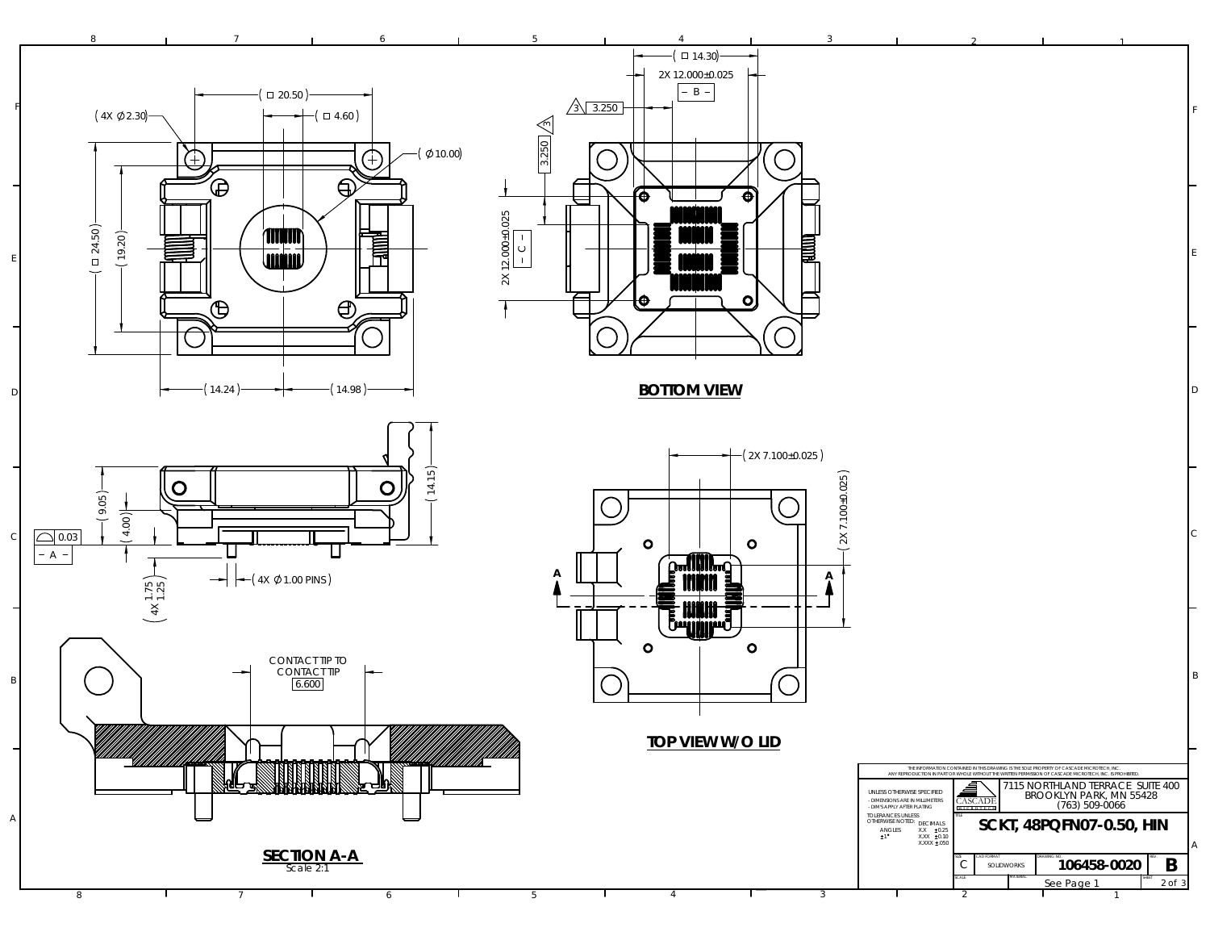